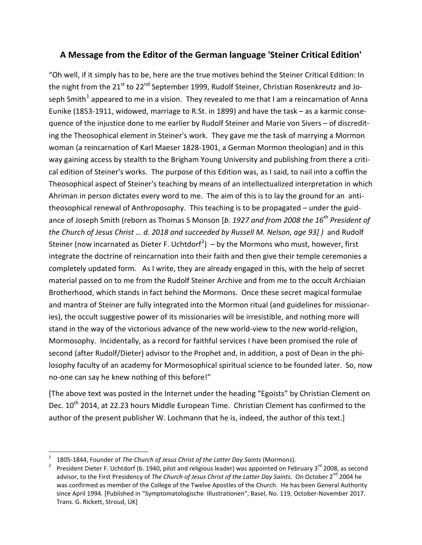## **A Message from the Editor of the German language 'Steiner Critical Edition'**

"Oh well, if it simply has to be, here are the true motives behind the Steiner Critical Edition: In the night from the 21<sup>st</sup> to 22<sup>nd</sup> September 1999, Rudolf Steiner, Christian Rosenkreutz and Jo-seph Smith<sup>[1](#page-0-0)</sup> appeared to me in a vision. They revealed to me that I am a reincarnation of Anna Eunike (1853-1911, widowed, marriage to R.St. in 1899) and have the task – as a karmic consequence of the injustice done to me earlier by Rudolf Steiner and Marie von Sivers – of discrediting the Theosophical element in Steiner's work. They gave me the task of marrying a Mormon woman (a reincarnation of Karl Maeser 1828-1901, a German Mormon theologian) and in this way gaining access by stealth to the Brigham Young University and publishing from there a critical edition of Steiner's works. The purpose of this Edition was, as I said, to nail into a coffin the Theosophical aspect of Steiner's teaching by means of an intellectualized interpretation in which Ahriman in person dictates every word to me. The aim of this is to lay the ground for an antitheosophical renewal of Anthroposophy. This teaching is to be propagated – under the guidance of Joseph Smith (reborn as Thomas S Monson [*b. 1927 and from 2008 the 16th President of the Church of Jesus Christ … d. 2018 and succeeded by Russell M. Nelson, age 93] )* and Rudolf Steiner (now incarnated as Dieter F. Uchtdorf<sup>[2](#page-0-1)</sup>) – by the Mormons who must, however, first integrate the doctrine of reincarnation into their faith and then give their temple ceremonies a completely updated form. As I write, they are already engaged in this, with the help of secret material passed on to me from the Rudolf Steiner Archive and from me to the occult Archiaian Brotherhood, which stands in fact behind the Mormons. Once these secret magical formulae and mantra of Steiner are fully integrated into the Mormon ritual (and guidelines for missionaries), the occult suggestive power of its missionaries will be irresistible, and nothing more will stand in the way of the victorious advance of the new world-view to the new world-religion, Mormosophy. Incidentally, as a record for faithful services I have been promised the role of second (after Rudolf/Dieter) advisor to the Prophet and, in addition, a post of Dean in the philosophy faculty of an academy for Mormosophical spiritual science to be founded later. So, now no-one can say he knew nothing of this before!"

[The above text was posted in the Internet under the heading "Egoists" by Christian Clement on Dec. 10<sup>th</sup> 2014, at 22.23 hours Middle European Time. Christian Clement has confirmed to the author of the present publisher W. Lochmann that he is, indeed, the author of this text.]

<span id="page-0-1"></span><span id="page-0-0"></span>

<sup>1805-1844,</sup> Founder of *The Church of Jesus Christ of the Latter Day Saints* (Mormons).<br>President Dieter F. Uchtdorf (b. 1940, pilot and religious leader) was appointed on February 3<sup>rd</sup> 2008, as second advisor, to the First Presidency of *The Church of Jesus Christ of the Latter Day Saints*. On October 2<sup>nd</sup> 2004 he was confirmed as member of the College of the Twelve Apostles of the Church. He has been General Authority since April 1994. [Published in "Symptomatologische Illustrationen", Basel, No. 119, October-November 2017. Trans. G. Rickett, Stroud, UK]